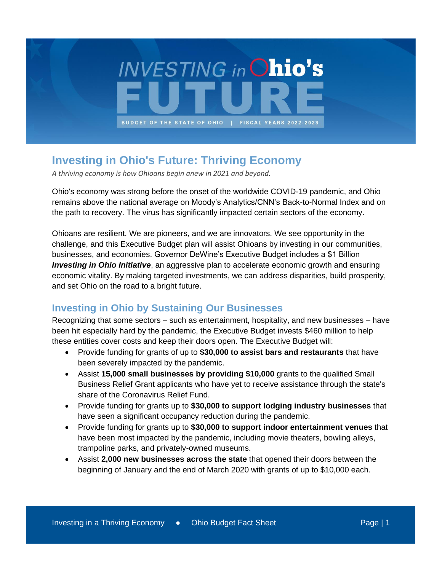

# **Investing in Ohio's Future: Thriving Economy**

*A thriving economy is how Ohioans begin anew in 2021 and beyond.*

Ohio's economy was strong before the onset of the worldwide COVID-19 pandemic, and Ohio remains above the national average on Moody's Analytics/CNN's Back-to-Normal Index and on the path to recovery. The virus has significantly impacted certain sectors of the economy.

Ohioans are resilient. We are pioneers, and we are innovators. We see opportunity in the challenge, and this Executive Budget plan will assist Ohioans by investing in our communities, businesses, and economies. Governor DeWine's Executive Budget includes a \$1 Billion *Investing in Ohio Initiative*, an aggressive plan to accelerate economic growth and ensuring economic vitality. By making targeted investments, we can address disparities, build prosperity, and set Ohio on the road to a bright future.

#### **Investing in Ohio by Sustaining Our Businesses**

Recognizing that some sectors – such as entertainment, hospitality, and new businesses – have been hit especially hard by the pandemic, the Executive Budget invests \$460 million to help these entities cover costs and keep their doors open. The Executive Budget will:

- Provide funding for grants of up to **\$30,000 to assist bars and restaurants** that have been severely impacted by the pandemic.
- Assist **15,000 small businesses by providing \$10,000** grants to the qualified Small Business Relief Grant applicants who have yet to receive assistance through the state's share of the Coronavirus Relief Fund.
- Provide funding for grants up to **\$30,000 to support lodging industry businesses** that have seen a significant occupancy reduction during the pandemic.
- Provide funding for grants up to **\$30,000 to support indoor entertainment venues** that have been most impacted by the pandemic, including movie theaters, bowling alleys, trampoline parks, and privately-owned museums.
- Assist **2,000 new businesses across the state** that opened their doors between the beginning of January and the end of March 2020 with grants of up to \$10,000 each.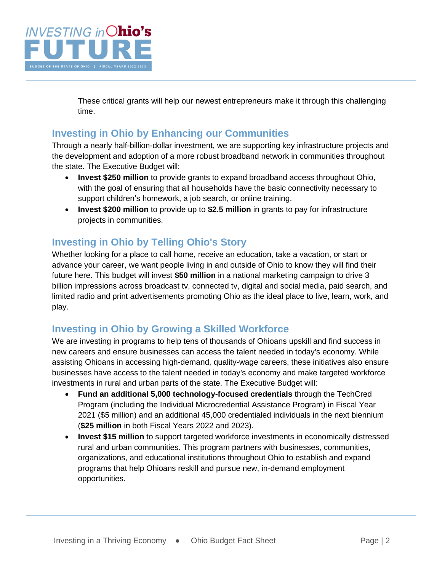

These critical grants will help our newest entrepreneurs make it through this challenging time.

### **Investing in Ohio by Enhancing our Communities**

Through a nearly half-billion-dollar investment, we are supporting key infrastructure projects and the development and adoption of a more robust broadband network in communities throughout the state. The Executive Budget will:

- **Invest \$250 million** to provide grants to expand broadband access throughout Ohio, with the goal of ensuring that all households have the basic connectivity necessary to support children's homework, a job search, or online training.
- **Invest \$200 million** to provide up to **\$2.5 million** in grants to pay for infrastructure projects in communities.

## **Investing in Ohio by Telling Ohio's Story**

Whether looking for a place to call home, receive an education, take a vacation, or start or advance your career, we want people living in and outside of Ohio to know they will find their future here. This budget will invest **\$50 million** in a national marketing campaign to drive 3 billion impressions across broadcast tv, connected tv, digital and social media, paid search, and limited radio and print advertisements promoting Ohio as the ideal place to live, learn, work, and play.

## **Investing in Ohio by Growing a Skilled Workforce**

We are investing in programs to help tens of thousands of Ohioans upskill and find success in new careers and ensure businesses can access the talent needed in today's economy. While assisting Ohioans in accessing high-demand, quality-wage careers, these initiatives also ensure businesses have access to the talent needed in today's economy and make targeted workforce investments in rural and urban parts of the state. The Executive Budget will:

- **Fund an additional 5,000 technology-focused credentials** through the TechCred Program (including the Individual Microcredential Assistance Program) in Fiscal Year 2021 (\$5 million) and an additional 45,000 credentialed individuals in the next biennium (**\$25 million** in both Fiscal Years 2022 and 2023).
- **Invest \$15 million** to support targeted workforce investments in economically distressed rural and urban communities. This program partners with businesses, communities, organizations, and educational institutions throughout Ohio to establish and expand programs that help Ohioans reskill and pursue new, in-demand employment opportunities.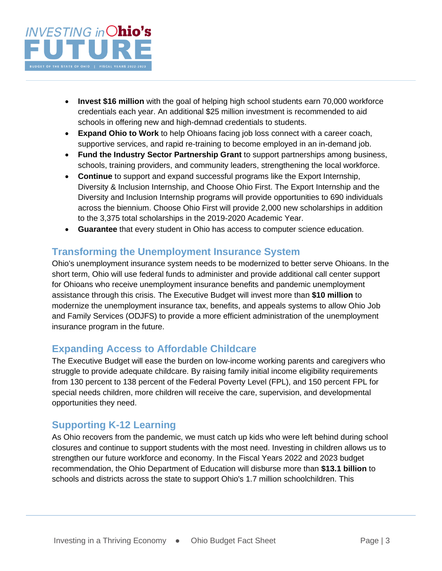

- **Invest \$16 million** with the goal of helping high school students earn 70,000 workforce credentials each year. An additional \$25 million investment is recommended to aid schools in offering new and high-demnad credentials to students.
- **Expand Ohio to Work** to help Ohioans facing job loss connect with a career coach, supportive services, and rapid re-training to become employed in an in-demand job.
- **Fund the Industry Sector Partnership Grant** to support partnerships among business, schools, training providers, and community leaders, strengthening the local workforce.
- **Continue** to support and expand successful programs like the Export Internship, Diversity & Inclusion Internship, and Choose Ohio First. The Export Internship and the Diversity and Inclusion Internship programs will provide opportunities to 690 individuals across the biennium. Choose Ohio First will provide 2,000 new scholarships in addition to the 3,375 total scholarships in the 2019-2020 Academic Year.
- **Guarantee** that every student in Ohio has access to computer science education.

#### **Transforming the Unemployment Insurance System**

Ohio's unemployment insurance system needs to be modernized to better serve Ohioans. In the short term, Ohio will use federal funds to administer and provide additional call center support for Ohioans who receive unemployment insurance benefits and pandemic unemployment assistance through this crisis. The Executive Budget will invest more than **\$10 million** to modernize the unemployment insurance tax, benefits, and appeals systems to allow Ohio Job and Family Services (ODJFS) to provide a more efficient administration of the unemployment insurance program in the future.

### **Expanding Access to Affordable Childcare**

The Executive Budget will ease the burden on low-income working parents and caregivers who struggle to provide adequate childcare. By raising family initial income eligibility requirements from 130 percent to 138 percent of the Federal Poverty Level (FPL), and 150 percent FPL for special needs children, more children will receive the care, supervision, and developmental opportunities they need.

### **Supporting K-12 Learning**

As Ohio recovers from the pandemic, we must catch up kids who were left behind during school closures and continue to support students with the most need. Investing in children allows us to strengthen our future workforce and economy. In the Fiscal Years 2022 and 2023 budget recommendation, the Ohio Department of Education will disburse more than **\$13.1 billion** to schools and districts across the state to support Ohio's 1.7 million schoolchildren. This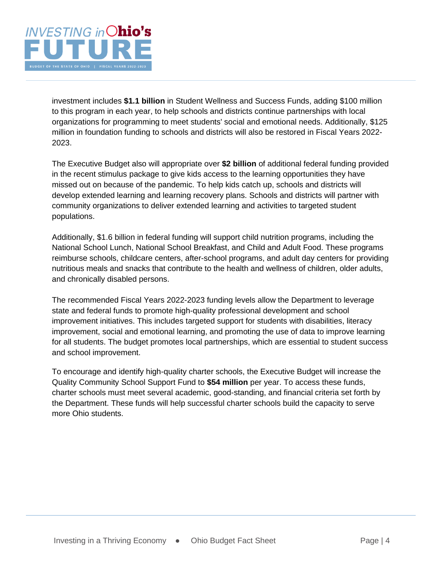

investment includes **\$1.1 billion** in Student Wellness and Success Funds, adding \$100 million to this program in each year, to help schools and districts continue partnerships with local organizations for programming to meet students' social and emotional needs. Additionally, \$125 million in foundation funding to schools and districts will also be restored in Fiscal Years 2022- 2023.

The Executive Budget also will appropriate over **\$2 billion** of additional federal funding provided in the recent stimulus package to give kids access to the learning opportunities they have missed out on because of the pandemic. To help kids catch up, schools and districts will develop extended learning and learning recovery plans. Schools and districts will partner with community organizations to deliver extended learning and activities to targeted student populations.

Additionally, \$1.6 billion in federal funding will support child nutrition programs, including the National School Lunch, National School Breakfast, and Child and Adult Food. These programs reimburse schools, childcare centers, after-school programs, and adult day centers for providing nutritious meals and snacks that contribute to the health and wellness of children, older adults, and chronically disabled persons.

The recommended Fiscal Years 2022-2023 funding levels allow the Department to leverage state and federal funds to promote high-quality professional development and school improvement initiatives. This includes targeted support for students with disabilities, literacy improvement, social and emotional learning, and promoting the use of data to improve learning for all students. The budget promotes local partnerships, which are essential to student success and school improvement.

To encourage and identify high-quality charter schools, the Executive Budget will increase the Quality Community School Support Fund to **\$54 million** per year. To access these funds, charter schools must meet several academic, good-standing, and financial criteria set forth by the Department. These funds will help successful charter schools build the capacity to serve more Ohio students.